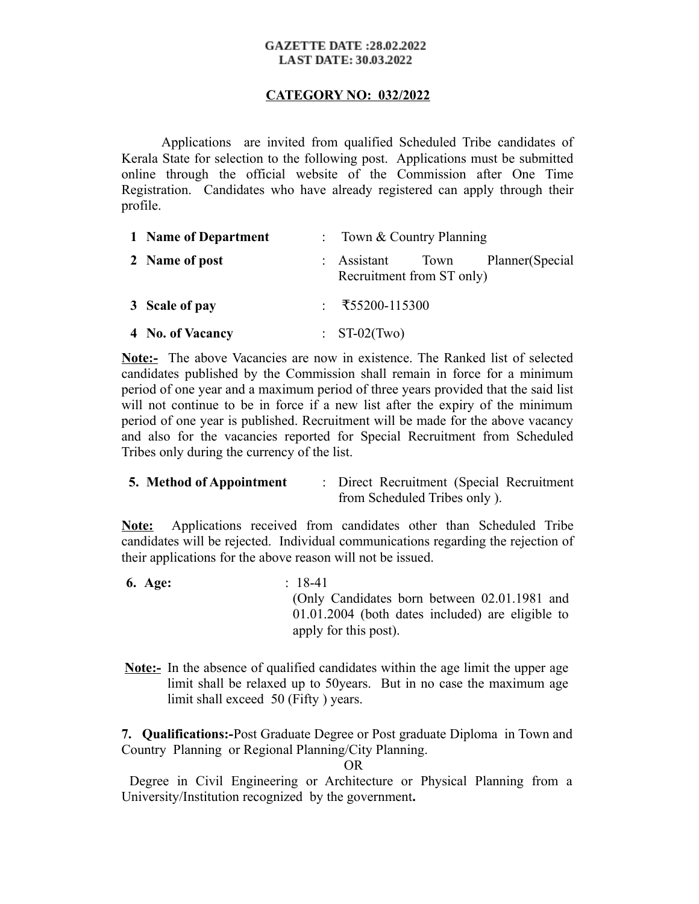## **GAZETTE DATE:28.02.2022 LAST DATE: 30.03.2022**

## **CATEGORY NO: 032/2022**

Applications are invited from qualified Scheduled Tribe candidates of Kerala State for selection to the following post. Applications must be submitted online through the official website of the Commission after One Time Registration. Candidates who have already registered can apply through their profile.

| 1 Name of Department | : Town & Country Planning                                           |
|----------------------|---------------------------------------------------------------------|
| 2 Name of post       | Planner(Special<br>: Assistant<br>Town<br>Recruitment from ST only) |
| 3 Scale of pay       | : ₹55200-115300                                                     |
| 4 No. of Vacancy     | $\therefore$ ST-02(Two)                                             |

**Note:-** The above Vacancies are now in existence. The Ranked list of selected candidates published by the Commission shall remain in force for a minimum period of one year and a maximum period of three years provided that the said list will not continue to be in force if a new list after the expiry of the minimum period of one year is published. Recruitment will be made for the above vacancy and also for the vacancies reported for Special Recruitment from Scheduled Tribes only during the currency of the list.

| 5. Method of Appointment | : Direct Recruitment (Special Recruitment |
|--------------------------|-------------------------------------------|
|                          | from Scheduled Tribes only ).             |

**Note:** Applications received from candidates other than Scheduled Tribe candidates will be rejected. Individual communications regarding the rejection of their applications for the above reason will not be issued.

- **6. Age:** : 18-41 (Only Candidates born between 02.01.1981 and 01.01.2004 (both dates included) are eligible to apply for this post).
- **Note:-** In the absence of qualified candidates within the age limit the upper age limit shall be relaxed up to 50years. But in no case the maximum age limit shall exceed 50 (Fifty ) years.

**7. Qualifications:-**Post Graduate Degree or Post graduate Diploma in Town and Country Planning or Regional Planning/City Planning.

**OR** Service Service Service Service Service Service Service Service Service Service Service Service Service Service Service Service Service Service Service Service Service Service Service Service Service Service Service S

 Degree in Civil Engineering or Architecture or Physical Planning from a University/Institution recognized by the government**.**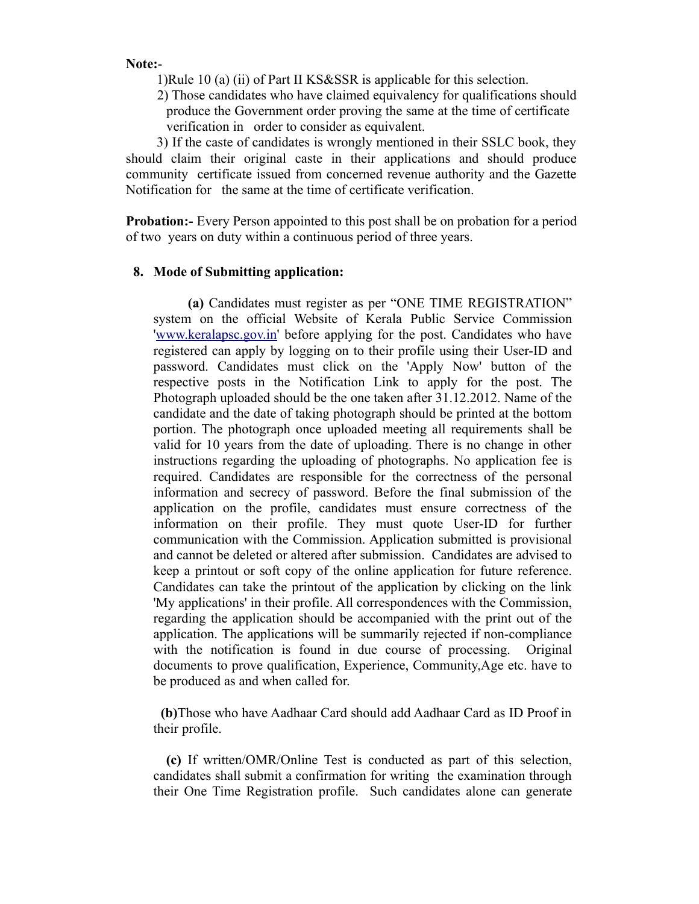**Note:**-

1)Rule 10 (a) (ii) of Part II KS&SSR is applicable for this selection.

 2) Those candidates who have claimed equivalency for qualifications should produce the Government order proving the same at the time of certificate verification in order to consider as equivalent.

 3) If the caste of candidates is wrongly mentioned in their SSLC book, they should claim their original caste in their applications and should produce community certificate issued from concerned revenue authority and the Gazette Notification for the same at the time of certificate verification.

**Probation:** Every Person appointed to this post shall be on probation for a period of two years on duty within a continuous period of three years.

## **8. Mode of Submitting application:**

 **(a)** Candidates must register as per "ONE TIME REGISTRATION" system on the official Website of Kerala Public Service Commission ['www.keralapsc.gov.in](http://www.keralapsc.gov.in/)' before applying for the post. Candidates who have registered can apply by logging on to their profile using their User-ID and password. Candidates must click on the 'Apply Now' button of the respective posts in the Notification Link to apply for the post. The Photograph uploaded should be the one taken after 31.12.2012. Name of the candidate and the date of taking photograph should be printed at the bottom portion. The photograph once uploaded meeting all requirements shall be valid for 10 years from the date of uploading. There is no change in other instructions regarding the uploading of photographs. No application fee is required. Candidates are responsible for the correctness of the personal information and secrecy of password. Before the final submission of the application on the profile, candidates must ensure correctness of the information on their profile. They must quote User-ID for further communication with the Commission. Application submitted is provisional and cannot be deleted or altered after submission. Candidates are advised to keep a printout or soft copy of the online application for future reference. Candidates can take the printout of the application by clicking on the link 'My applications' in their profile. All correspondences with the Commission, regarding the application should be accompanied with the print out of the application. The applications will be summarily rejected if non-compliance with the notification is found in due course of processing. Original documents to prove qualification, Experience, Community,Age etc. have to be produced as and when called for.

 **(b)**Those who have Aadhaar Card should add Aadhaar Card as ID Proof in their profile.

 **(c)** If written/OMR/Online Test is conducted as part of this selection, candidates shall submit a confirmation for writing the examination through their One Time Registration profile. Such candidates alone can generate